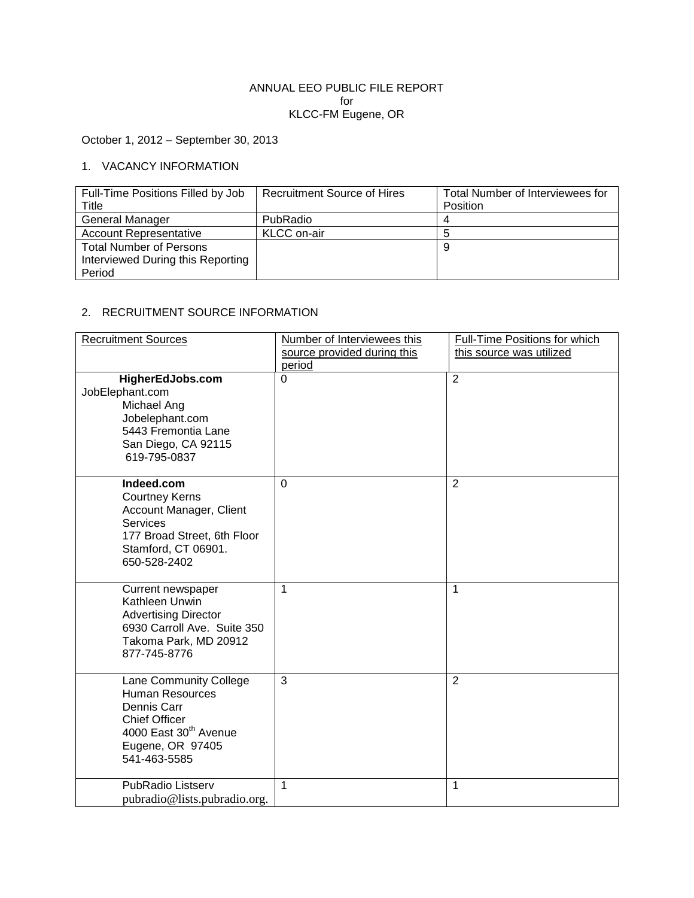## ANNUAL EEO PUBLIC FILE REPORT for KLCC-FM Eugene, OR

October 1, 2012 – September 30, 2013

## 1. VACANCY INFORMATION

| Full-Time Positions Filled by Job | <b>Recruitment Source of Hires</b> | Total Number of Interviewees for |
|-----------------------------------|------------------------------------|----------------------------------|
| Title                             |                                    | Position                         |
| <b>General Manager</b>            | PubRadio                           |                                  |
| <b>Account Representative</b>     | KLCC on-air                        |                                  |
| <b>Total Number of Persons</b>    |                                    | g                                |
| Interviewed During this Reporting |                                    |                                  |
| Period                            |                                    |                                  |

## 2. RECRUITMENT SOURCE INFORMATION

| <b>Recruitment Sources</b>                                                                                                                                | Number of Interviewees this<br>source provided during this<br>period | Full-Time Positions for which<br>this source was utilized |
|-----------------------------------------------------------------------------------------------------------------------------------------------------------|----------------------------------------------------------------------|-----------------------------------------------------------|
| HigherEdJobs.com<br>JobElephant.com<br>Michael Ang<br>Jobelephant.com<br>5443 Fremontia Lane<br>San Diego, CA 92115<br>619-795-0837                       | $\Omega$                                                             | $\overline{2}$                                            |
| Indeed.com<br><b>Courtney Kerns</b><br>Account Manager, Client<br><b>Services</b><br>177 Broad Street, 6th Floor<br>Stamford, CT 06901.<br>650-528-2402   | $\Omega$                                                             | $\overline{2}$                                            |
| Current newspaper<br>Kathleen Unwin<br><b>Advertising Director</b><br>6930 Carroll Ave. Suite 350<br>Takoma Park, MD 20912<br>877-745-8776                | 1                                                                    | 1                                                         |
| Lane Community College<br>Human Resources<br>Dennis Carr<br><b>Chief Officer</b><br>4000 East 30 <sup>th</sup> Avenue<br>Eugene, OR 97405<br>541-463-5585 | $\overline{3}$                                                       | $\overline{2}$                                            |
| PubRadio Listserv<br>pubradio@lists.pubradio.org.                                                                                                         | 1                                                                    | 1                                                         |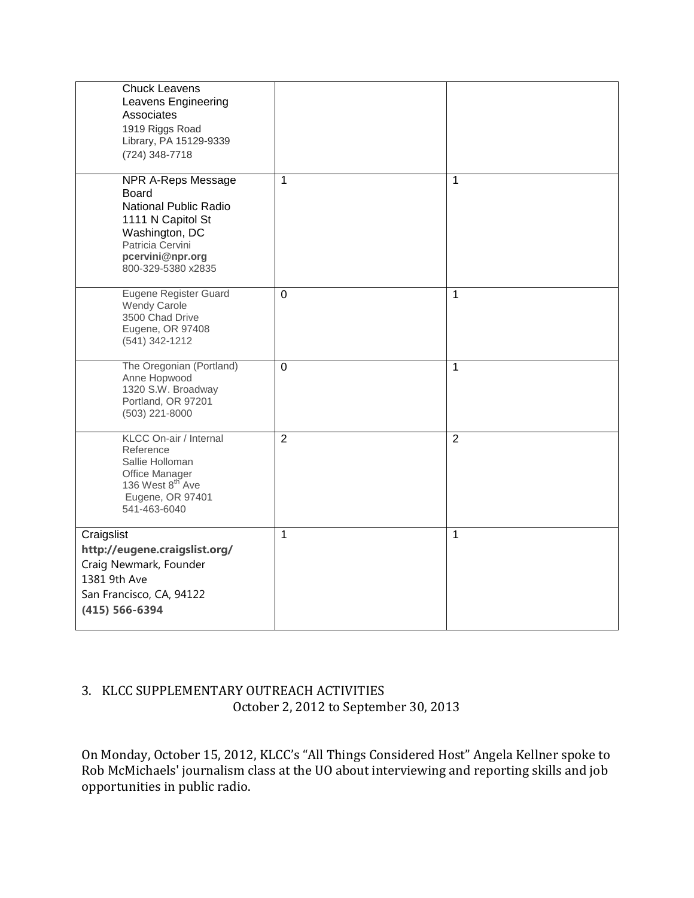| <b>Chuck Leavens</b><br>Leavens Engineering<br>Associates<br>1919 Riggs Road<br>Library, PA 15129-9339<br>(724) 348-7718                                                |                |                |
|-------------------------------------------------------------------------------------------------------------------------------------------------------------------------|----------------|----------------|
| <b>NPR A-Reps Message</b><br><b>Board</b><br>National Public Radio<br>1111 N Capitol St<br>Washington, DC<br>Patricia Cervini<br>pcervini@npr.org<br>800-329-5380 x2835 | 1              | 1              |
| Eugene Register Guard<br><b>Wendy Carole</b><br>3500 Chad Drive<br>Eugene, OR 97408<br>(541) 342-1212                                                                   | $\overline{0}$ | 1              |
| The Oregonian (Portland)<br>Anne Hopwood<br>1320 S.W. Broadway<br>Portland, OR 97201<br>(503) 221-8000                                                                  | $\overline{0}$ | $\mathbf{1}$   |
| KLCC On-air / Internal<br>Reference<br>Sallie Holloman<br>Office Manager<br>136 West 8 <sup>th</sup> Ave<br>Eugene, OR 97401<br>541-463-6040                            | $\overline{2}$ | $\overline{2}$ |
| Craigslist<br>http://eugene.craigslist.org/<br>Craig Newmark, Founder<br>1381 9th Ave<br>San Francisco, CA, 94122<br>$(415) 566 - 6394$                                 | 1              | 1              |

## 3. KLCC SUPPLEMENTARY OUTREACH ACTIVITIES October 2, 2012 to September 30, 2013

On Monday, October 15, 2012, KLCC's "All Things Considered Host" Angela Kellner spoke to Rob McMichaels' journalism class at the UO about interviewing and reporting skills and job opportunities in public radio.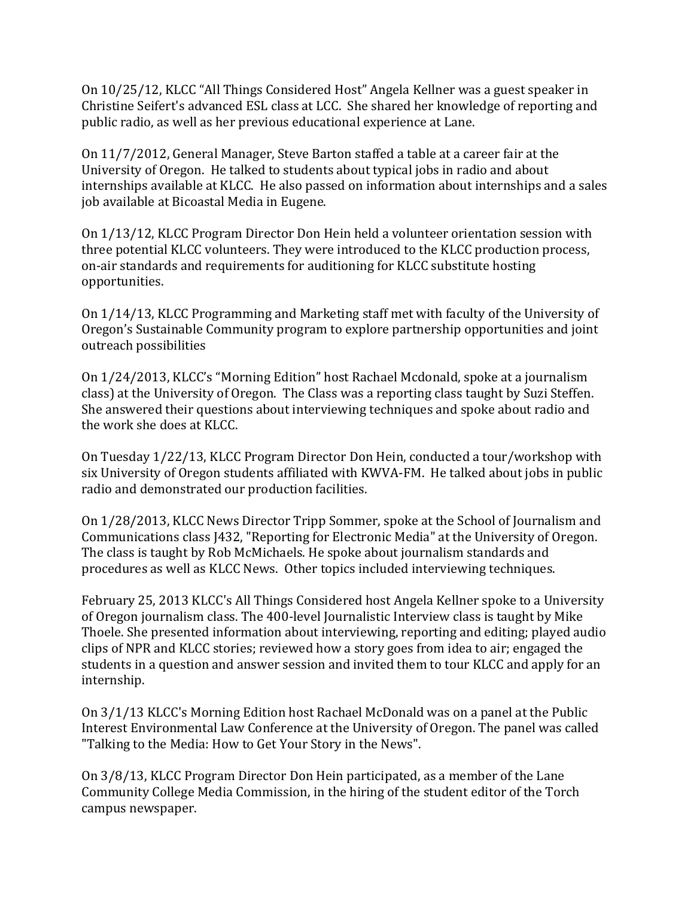On 10/25/12, KLCC "All Things Considered Host" Angela Kellner was a guest speaker in Christine Seifert's advanced ESL class at LCC. She shared her knowledge of reporting and public radio, as well as her previous educational experience at Lane.

On 11/7/2012, General Manager, Steve Barton staffed a table at a career fair at the University of Oregon. He talked to students about typical jobs in radio and about internships available at KLCC. He also passed on information about internships and a sales job available at Bicoastal Media in Eugene.

On 1/13/12, KLCC Program Director Don Hein held a volunteer orientation session with three potential KLCC volunteers. They were introduced to the KLCC production process, on-air standards and requirements for auditioning for KLCC substitute hosting opportunities.

On 1/14/13, KLCC Programming and Marketing staff met with faculty of the University of Oregon's Sustainable Community program to explore partnership opportunities and joint outreach possibilities

On 1/24/2013, KLCC's "Morning Edition" host Rachael Mcdonald, spoke at a journalism class) at the University of Oregon. The Class was a reporting class taught by Suzi Steffen. She answered their questions about interviewing techniques and spoke about radio and the work she does at KLCC.

On Tuesday 1/22/13, KLCC Program Director Don Hein, conducted a tour/workshop with six University of Oregon students affiliated with KWVA-FM. He talked about jobs in public radio and demonstrated our production facilities.

On 1/28/2013, KLCC News Director Tripp Sommer, spoke at the School of Journalism and Communications class J432, "Reporting for Electronic Media" at the University of Oregon. The class is taught by Rob McMichaels. He spoke about journalism standards and procedures as well as KLCC News. Other topics included interviewing techniques.

February 25, 2013 KLCC's All Things Considered host Angela Kellner spoke to a University of Oregon journalism class. The 400-level Journalistic Interview class is taught by Mike Thoele. She presented information about interviewing, reporting and editing; played audio clips of NPR and KLCC stories; reviewed how a story goes from idea to air; engaged the students in a question and answer session and invited them to tour KLCC and apply for an internship.

On 3/1/13 KLCC's Morning Edition host Rachael McDonald was on a panel at the Public Interest Environmental Law Conference at the University of Oregon. The panel was called "Talking to the Media: How to Get Your Story in the News".

On 3/8/13, KLCC Program Director Don Hein participated, as a member of the Lane Community College Media Commission, in the hiring of the student editor of the Torch campus newspaper.